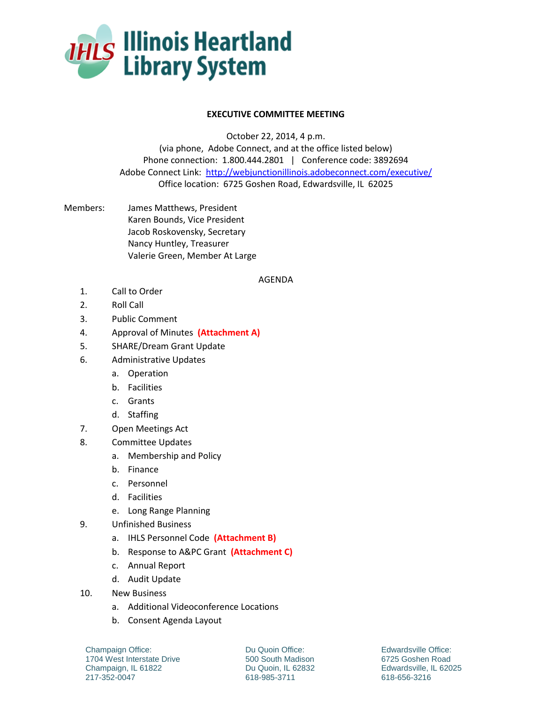

## **EXECUTIVE COMMITTEE MEETING**

October 22, 2014, 4 p.m.

(via phone, Adobe Connect, and at the office listed below) Phone connection: 1.800.444.2801 | Conference code: 3892694 Adobe Connect Link:<http://webjunctionillinois.adobeconnect.com/executive/> Office location: 6725 Goshen Road, Edwardsville, IL 62025

Members: James Matthews, President Karen Bounds, Vice President Jacob Roskovensky, Secretary Nancy Huntley, Treasurer Valerie Green, Member At Large

## AGENDA

- 1. Call to Order
- 2. Roll Call
- 3. Public Comment
- 4. Approval of Minutes **(Attachment A)**
- 5. SHARE/Dream Grant Update
- 6. Administrative Updates
	- a. Operation
	- b. Facilities
	- c. Grants
	- d. Staffing
- 7. Open Meetings Act
- 8. Committee Updates
	- a. Membership and Policy
	- b. Finance
	- c. Personnel
	- d. Facilities
	- e. Long Range Planning
- 9. Unfinished Business
	- a. IHLS Personnel Code **(Attachment B)**
	- b. Response to A&PC Grant **(Attachment C)**
	- c. Annual Report
	- d. Audit Update
- 10. New Business
	- a. Additional Videoconference Locations
	- b. Consent Agenda Layout

Champaign Office: 1704 West Interstate Drive Champaign, IL 61822 217-352-0047

Du Quoin Office: 500 South Madison Du Quoin, IL 62832 618-985-3711

Edwardsville Office: 6725 Goshen Road Edwardsville, IL 62025 618-656-3216